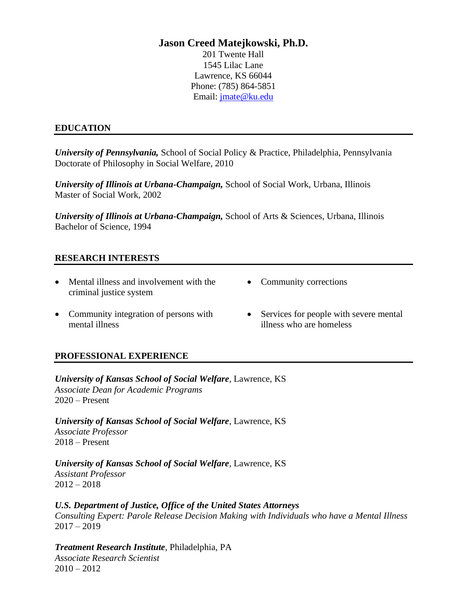# **Jason Creed Matejkowski, Ph.D.**

201 Twente Hall 1545 Lilac Lane Lawrence, KS 66044 Phone: (785) 864-5851 Email: [jmate@ku.edu](mailto:jmate@ku.edu)

# **EDUCATION**

*University of Pennsylvania,* School of Social Policy & Practice, Philadelphia, Pennsylvania Doctorate of Philosophy in Social Welfare, 2010

*University of Illinois at Urbana-Champaign,* School of Social Work, Urbana, Illinois Master of Social Work, 2002

*University of Illinois at Urbana-Champaign,* School of Arts & Sciences, Urbana, Illinois Bachelor of Science, 1994

# **RESEARCH INTERESTS**

- Mental illness and involvement with the criminal justice system
- Community corrections
- Community integration of persons with mental illness
- Services for people with severe mental illness who are homeless

# **PROFESSIONAL EXPERIENCE**

*University of Kansas School of Social Welfare*, Lawrence, KS *Associate Dean for Academic Programs* 2020 – Present

*University of Kansas School of Social Welfare*, Lawrence, KS *Associate Professor* 2018 – Present

*University of Kansas School of Social Welfare*, Lawrence, KS *Assistant Professor*  $2012 - 2018$ 

*U.S. Department of Justice, Office of the United States Attorneys Consulting Expert: Parole Release Decision Making with Individuals who have a Mental Illness*  2017 – 2019

*Treatment Research Institute*, Philadelphia, PA *Associate Research Scientist*  $2010 - 2012$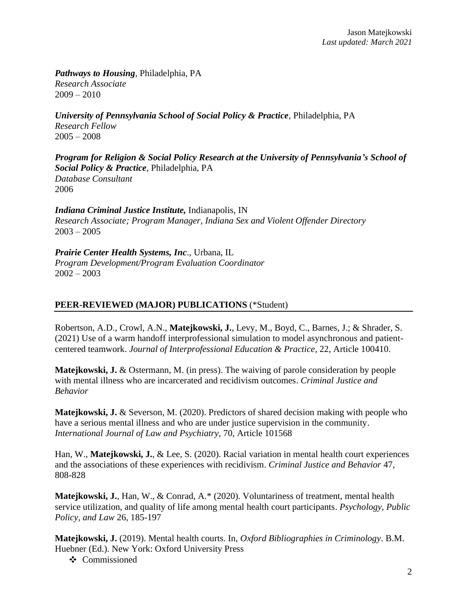*Pathways to Housing*, Philadelphia, PA *Research Associate*  $2009 - 2010$ 

*University of Pennsylvania School of Social Policy & Practice*, Philadelphia, PA *Research Fellow*  $2005 - 2008$ 

*Program for Religion & Social Policy Research at the University of Pennsylvania's School of Social Policy & Practice*, Philadelphia, PA *Database Consultant* 2006

*Indiana Criminal Justice Institute,* Indianapolis, IN *Research Associate; Program Manager, Indiana Sex and Violent Offender Directory*  $2003 - 2005$ 

*Prairie Center Health Systems, Inc*., Urbana, IL *Program Development/Program Evaluation Coordinator* 2002 – 2003

# **PEER-REVIEWED (MAJOR) PUBLICATIONS** (\*Student)

Robertson, A.D., Crowl, A.N., **Matejkowski, J.**, Levy, M., Boyd, C., Barnes, J.; & Shrader, S. (2021) Use of a warm handoff interprofessional simulation to model asynchronous and patientcentered teamwork. *Journal of Interprofessional Education & Practice*, 22, Article 100410.

**Matejkowski, J.** & Ostermann, M. (in press). The waiving of parole consideration by people with mental illness who are incarcerated and recidivism outcomes. *Criminal Justice and Behavior*

**Matejkowski, J.** & Severson, M. (2020). Predictors of shared decision making with people who have a serious mental illness and who are under justice supervision in the community. *International Journal of Law and Psychiatry*, 70, Article 101568

Han, W., **Matejkowski, J.**, & Lee, S. (2020). Racial variation in mental health court experiences and the associations of these experiences with recidivism. *Criminal Justice and Behavior* 47, 808-828

**Matejkowski, J.**, Han, W., & Conrad, A.\* (2020). Voluntariness of treatment, mental health service utilization, and quality of life among mental health court participants. *Psychology, Public Policy, and Law* 26, 185-197

**Matejkowski, J.** (2019). Mental health courts. In, *Oxford Bibliographies in Criminology*. B.M. Huebner (Ed.). New York: Oxford University Press

 $\div$  Commissioned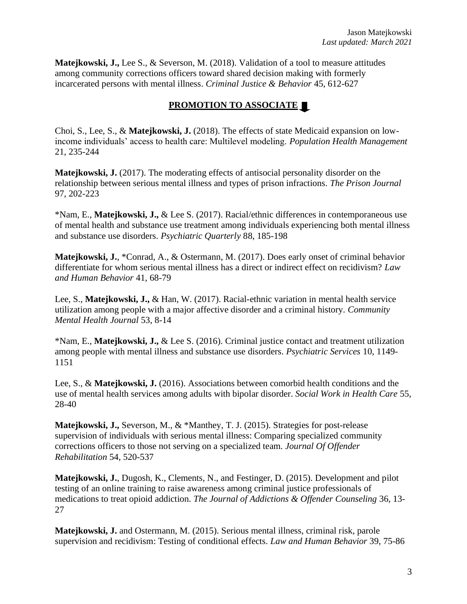**Matejkowski, J.,** Lee S., & Severson, M. (2018). Validation of a tool to measure attitudes among community corrections officers toward shared decision making with formerly incarcerated persons with mental illness. *Criminal Justice & Behavior* 45, 612-627

# **PROMOTION TO ASSOCIATE**

Choi, S., Lee, S., & **Matejkowski, J.** (2018). The effects of state Medicaid expansion on lowincome individuals' access to health care: Multilevel modeling. *Population Health Management* 21, 235-244

**Matejkowski, J.** (2017). The moderating effects of antisocial personality disorder on the relationship between serious mental illness and types of prison infractions. *The Prison Journal* 97, 202-223

\*Nam, E., **Matejkowski, J.,** & Lee S. (2017). Racial/ethnic differences in contemporaneous use of mental health and substance use treatment among individuals experiencing both mental illness and substance use disorders. *Psychiatric Quarterly* 88, 185-198

**Matejkowski, J.**, \*Conrad, A., & Ostermann, M. (2017). Does early onset of criminal behavior differentiate for whom serious mental illness has a direct or indirect effect on recidivism? *Law and Human Behavior* 41, 68-79

Lee, S., **Matejkowski, J.,** & Han, W. (2017). Racial-ethnic variation in mental health service utilization among people with a major affective disorder and a criminal history. *Community Mental Health Journal* 53, 8-14

\*Nam, E., **Matejkowski, J.,** & Lee S. (2016). Criminal justice contact and treatment utilization among people with mental illness and substance use disorders. *Psychiatric Services* 10, 1149- 1151

Lee, S., & **Matejkowski, J.** (2016). Associations between comorbid health conditions and the use of mental health services among adults with bipolar disorder. *Social Work in Health Care* 55, 28-40

**Matejkowski, J.,** Severson, M., & \*Manthey, T. J. (2015). Strategies for post-release supervision of individuals with serious mental illness: Comparing specialized community corrections officers to those not serving on a specialized team. *Journal Of Offender Rehabilitation* 54, 520-537

**Matejkowski, J.**, Dugosh, K., Clements, N., and Festinger, D. (2015). Development and pilot testing of an online training to raise awareness among criminal justice professionals of medications to treat opioid addiction. *The Journal of Addictions & Offender Counseling* 36, 13- 27

**Matejkowski, J.** and Ostermann, M. (2015). Serious mental illness, criminal risk, parole supervision and recidivism: Testing of conditional effects. *Law and Human Behavior* 39, 75-86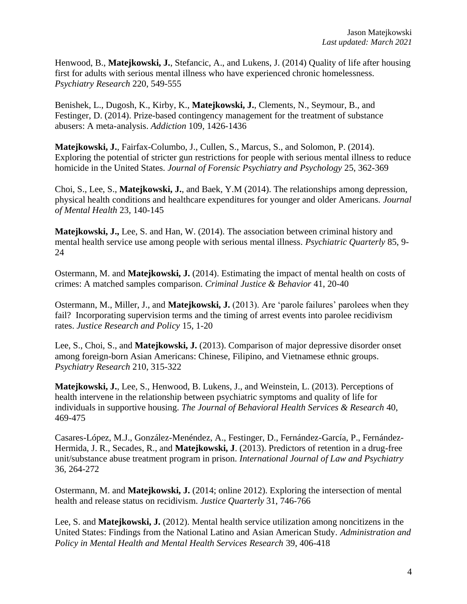Henwood, B., **Matejkowski, J.**, Stefancic, A., and Lukens, J. (2014) Quality of life after housing first for adults with serious mental illness who have experienced chronic homelessness. *Psychiatry Research* 220, 549-555

Benishek, L., Dugosh, K., Kirby, K., **Matejkowski, J.**, Clements, N., Seymour, B., and Festinger, D. (2014). Prize-based contingency management for the treatment of substance abusers: A meta-analysis. *Addiction* 109, 1426-1436

**Matejkowski, J.**, Fairfax-Columbo, J., Cullen, S., Marcus, S., and Solomon, P. (2014). Exploring the potential of stricter gun restrictions for people with serious mental illness to reduce homicide in the United States. *Journal of Forensic Psychiatry and Psychology* 25, 362-369

Choi, S., Lee, S., **Matejkowski, J.**, and Baek, Y.M (2014). The relationships among depression, physical health conditions and healthcare expenditures for younger and older Americans. *Journal of Mental Health* 23, 140-145

**Matejkowski, J.,** Lee, S. and Han, W. (2014). The association between criminal history and mental health service use among people with serious mental illness. *Psychiatric Quarterly* 85, 9- 24

Ostermann, M. and **Matejkowski, J.** (2014). Estimating the impact of mental health on costs of crimes: A matched samples comparison. *Criminal Justice & Behavior* 41, 20-40

Ostermann, M., Miller, J., and **Matejkowski, J.** (2013). Are 'parole failures' parolees when they fail? Incorporating supervision terms and the timing of arrest events into parolee recidivism rates. *Justice Research and Policy* 15, 1-20

Lee, S., Choi, S., and **Matejkowski, J.** (2013). Comparison of major depressive disorder onset among foreign-born Asian Americans: Chinese, Filipino, and Vietnamese ethnic groups. *Psychiatry Research* 210, 315-322

**Matejkowski, J.**, Lee, S., Henwood, B. Lukens, J., and Weinstein, L. (2013). Perceptions of health intervene in the relationship between psychiatric symptoms and quality of life for individuals in supportive housing. *The Journal of Behavioral Health Services & Research* 40, 469-475

Casares-López, M.J., González-Menéndez, A., Festinger, D., Fernández-García, P., Fernández-Hermida, J. R., Secades, R., and **Matejkowski, J**. (2013). Predictors of retention in a drug-free unit/substance abuse treatment program in prison. *International Journal of Law and Psychiatry* 36, 264-272

Ostermann, M. and **Matejkowski, J.** (2014; online 2012). Exploring the intersection of mental health and release status on recidivism. *Justice Quarterly* 31, 746-766

Lee, S. and **Matejkowski, J.** (2012). Mental health service utilization among noncitizens in the United States: Findings from the National Latino and Asian American Study. *Administration and Policy in Mental Health and Mental Health Services Research* 39, 406-418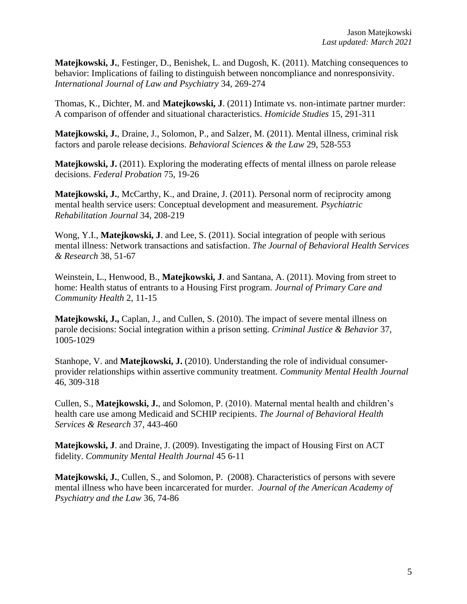**Matejkowski, J.**, Festinger, D., Benishek, L. and Dugosh, K. (2011). Matching consequences to behavior: Implications of failing to distinguish between noncompliance and nonresponsivity. *International Journal of Law and Psychiatry* 34, 269-274

Thomas, K., Dichter, M. and **Matejkowski, J**. (2011) Intimate vs. non-intimate partner murder: A comparison of offender and situational characteristics. *Homicide Studies* 15, 291-311

**Matejkowski, J.**, Draine, J., Solomon, P., and Salzer, M. (2011). Mental illness, criminal risk factors and parole release decisions. *Behavioral Sciences & the Law* 29, 528-553

**Matejkowski, J.** (2011). Exploring the moderating effects of mental illness on parole release decisions. *Federal Probation* 75, 19-26

Matejkowski, J., McCarthy, K., and Draine, J. (2011). Personal norm of reciprocity among mental health service users: Conceptual development and measurement. *Psychiatric Rehabilitation Journal* 34, 208-219

Wong, Y.I., **Matejkowski, J**. and Lee, S. (2011). Social integration of people with serious mental illness: Network transactions and satisfaction. *The Journal of Behavioral Health Services & Research* 38, 51-67

Weinstein, L., Henwood, B., **Matejkowski, J**. and Santana, A. (2011). Moving from street to home: Health status of entrants to a Housing First program. *Journal of Primary Care and Community Health* 2, 11-15

**Matejkowski, J.,** Caplan, J., and Cullen, S. (2010). The impact of severe mental illness on parole decisions: Social integration within a prison setting. *Criminal Justice & Behavior* 37, 1005-1029

Stanhope, V. and **Matejkowski, J.** (2010). Understanding the role of individual consumerprovider relationships within assertive community treatment. *Community Mental Health Journal* 46, 309-318

Cullen, S., **Matejkowski, J.**, and Solomon, P. (2010). Maternal mental health and children's health care use among Medicaid and SCHIP recipients. *The Journal of Behavioral Health Services & Research* 37, 443-460

**Matejkowski, J**. and Draine, J. (2009). Investigating the impact of Housing First on ACT fidelity. *Community Mental Health Journal* 45 6-11

**Matejkowski, J.**, Cullen, S., and Solomon, P. (2008). Characteristics of persons with severe mental illness who have been incarcerated for murder. *Journal of the American Academy of Psychiatry and the Law* 36, 74-86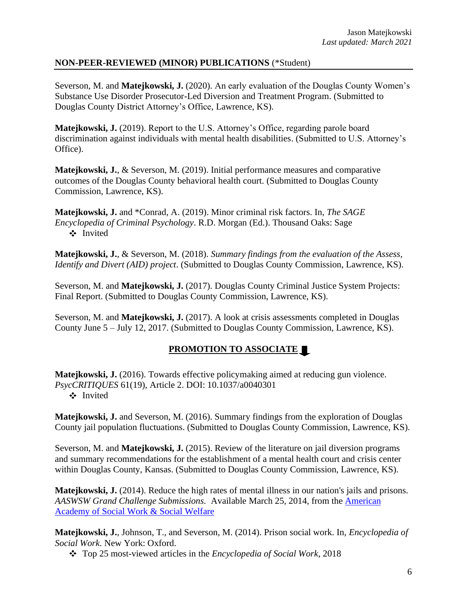# **NON-PEER-REVIEWED (MINOR) PUBLICATIONS** (\*Student)

Severson, M. and **Matejkowski, J.** (2020). An early evaluation of the Douglas County Women's Substance Use Disorder Prosecutor-Led Diversion and Treatment Program. (Submitted to Douglas County District Attorney's Office, Lawrence, KS).

**Matejkowski, J.** (2019). Report to the U.S. Attorney's Office, regarding parole board discrimination against individuals with mental health disabilities. (Submitted to U.S. Attorney's Office).

**Matejkowski, J.**, & Severson, M. (2019). Initial performance measures and comparative outcomes of the Douglas County behavioral health court. (Submitted to Douglas County Commission, Lawrence, KS).

**Matejkowski, J.** and \*Conrad, A. (2019). Minor criminal risk factors. In, *The SAGE Encyclopedia of Criminal Psychology*. R.D. Morgan (Ed.). Thousand Oaks: Sage Invited

**Matejkowski, J.**, & Severson, M. (2018). *Summary findings from the evaluation of the Assess, Identify and Divert (AID) project*. (Submitted to Douglas County Commission, Lawrence, KS).

Severson, M. and **Matejkowski, J.** (2017). Douglas County Criminal Justice System Projects: Final Report. (Submitted to Douglas County Commission, Lawrence, KS).

Severson, M. and **Matejkowski, J.** (2017). A look at crisis assessments completed in Douglas County June 5 – July 12, 2017. (Submitted to Douglas County Commission, Lawrence, KS).

# **PROMOTION TO ASSOCIATE**

**Matejkowski, J.** (2016). Towards effective policymaking aimed at reducing gun violence. *PsycCRITIQUES* 61(19), Article 2. DOI: 10.1037/a0040301 Invited

**Matejkowski, J.** and Severson, M. (2016). Summary findings from the exploration of Douglas County jail population fluctuations. (Submitted to Douglas County Commission, Lawrence, KS).

Severson, M. and **Matejkowski, J.** (2015). Review of the literature on jail diversion programs and summary recommendations for the establishment of a mental health court and crisis center within Douglas County, Kansas. (Submitted to Douglas County Commission, Lawrence, KS).

**Matejkowski, J.** (2014). Reduce the high rates of mental illness in our nation's jails and prisons. *AASWSW Grand Challenge Submissions.* Available March 25, 2014, from the [American](https://aaswsw.org/)  [Academy of Social Work & Social Welfare](https://aaswsw.org/)

**Matejkowski, J.**, Johnson, T., and Severson, M. (2014). Prison social work. In, *Encyclopedia of Social Work*. New York: Oxford.

Top 25 most-viewed articles in the *Encyclopedia of Social Work*, 2018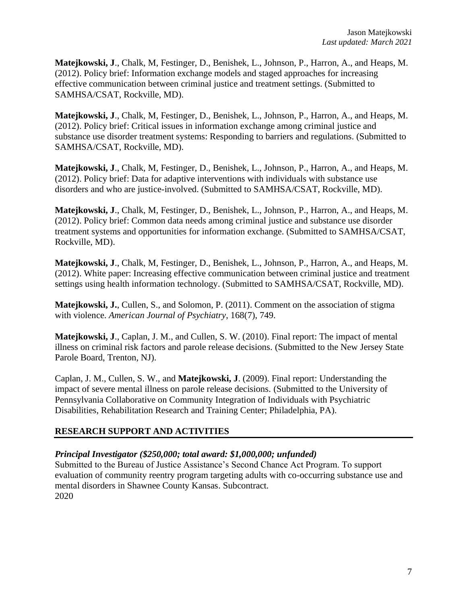**Matejkowski, J**., Chalk, M, Festinger, D., Benishek, L., Johnson, P., Harron, A., and Heaps, M. (2012). Policy brief: Information exchange models and staged approaches for increasing effective communication between criminal justice and treatment settings. (Submitted to SAMHSA/CSAT, Rockville, MD).

**Matejkowski, J**., Chalk, M, Festinger, D., Benishek, L., Johnson, P., Harron, A., and Heaps, M. (2012). Policy brief: Critical issues in information exchange among criminal justice and substance use disorder treatment systems: Responding to barriers and regulations. (Submitted to SAMHSA/CSAT, Rockville, MD).

**Matejkowski, J**., Chalk, M, Festinger, D., Benishek, L., Johnson, P., Harron, A., and Heaps, M. (2012). Policy brief: Data for adaptive interventions with individuals with substance use disorders and who are justice-involved. (Submitted to SAMHSA/CSAT, Rockville, MD).

**Matejkowski, J**., Chalk, M, Festinger, D., Benishek, L., Johnson, P., Harron, A., and Heaps, M. (2012). Policy brief: Common data needs among criminal justice and substance use disorder treatment systems and opportunities for information exchange. (Submitted to SAMHSA/CSAT, Rockville, MD).

**Matejkowski, J**., Chalk, M, Festinger, D., Benishek, L., Johnson, P., Harron, A., and Heaps, M. (2012). White paper: Increasing effective communication between criminal justice and treatment settings using health information technology. (Submitted to SAMHSA/CSAT, Rockville, MD).

**Matejkowski, J.**, Cullen, S., and Solomon, P. (2011). Comment on the association of stigma with violence. *American Journal of Psychiatry*, 168(7), 749.

**Matejkowski, J**., Caplan, J. M., and Cullen, S. W. (2010). Final report: The impact of mental illness on criminal risk factors and parole release decisions. (Submitted to the New Jersey State Parole Board, Trenton, NJ).

Caplan, J. M., Cullen, S. W., and **Matejkowski, J**. (2009). Final report: Understanding the impact of severe mental illness on parole release decisions. (Submitted to the University of Pennsylvania Collaborative on Community Integration of Individuals with Psychiatric Disabilities, Rehabilitation Research and Training Center; Philadelphia, PA).

# **RESEARCH SUPPORT AND ACTIVITIES**

# *Principal Investigator (\$250,000; total award: \$1,000,000; unfunded)*

Submitted to the Bureau of Justice Assistance's Second Chance Act Program. To support evaluation of community reentry program targeting adults with co-occurring substance use and mental disorders in Shawnee County Kansas. Subcontract. 2020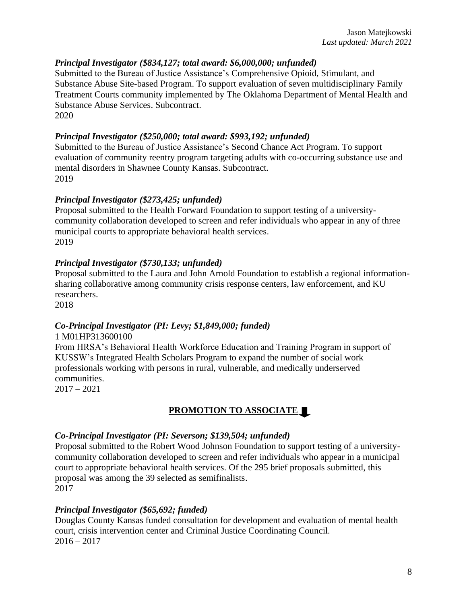#### *Principal Investigator (\$834,127; total award: \$6,000,000; unfunded)*

Submitted to the Bureau of Justice Assistance's Comprehensive Opioid, Stimulant, and Substance Abuse Site-based Program. To support evaluation of seven multidisciplinary Family Treatment Courts community implemented by The Oklahoma Department of Mental Health and Substance Abuse Services. Subcontract. 2020

#### *Principal Investigator (\$250,000; total award: \$993,192; unfunded)*

Submitted to the Bureau of Justice Assistance's Second Chance Act Program. To support evaluation of community reentry program targeting adults with co-occurring substance use and mental disorders in Shawnee County Kansas. Subcontract. 2019

#### *Principal Investigator (\$273,425; unfunded)*

Proposal submitted to the Health Forward Foundation to support testing of a universitycommunity collaboration developed to screen and refer individuals who appear in any of three municipal courts to appropriate behavioral health services. 2019

#### *Principal Investigator (\$730,133; unfunded)*

Proposal submitted to the Laura and John Arnold Foundation to establish a regional informationsharing collaborative among community crisis response centers, law enforcement, and KU researchers.

2018

#### *Co-Principal Investigator (PI: Levy; \$1,849,000; funded)*

1 M01HP313600100 From HRSA's Behavioral Health Workforce Education and Training Program in support of KUSSW's Integrated Health Scholars Program to expand the number of social work professionals working with persons in rural, vulnerable, and medically underserved communities. 2017 – 2021

# **PROMOTION TO ASSOCIATE**

#### *Co-Principal Investigator (PI: Severson; \$139,504; unfunded)*

Proposal submitted to the Robert Wood Johnson Foundation to support testing of a universitycommunity collaboration developed to screen and refer individuals who appear in a municipal court to appropriate behavioral health services. Of the 295 brief proposals submitted, this proposal was among the 39 selected as semifinalists. 2017

#### *Principal Investigator (\$65,692; funded)*

Douglas County Kansas funded consultation for development and evaluation of mental health court, crisis intervention center and Criminal Justice Coordinating Council.  $2016 - 2017$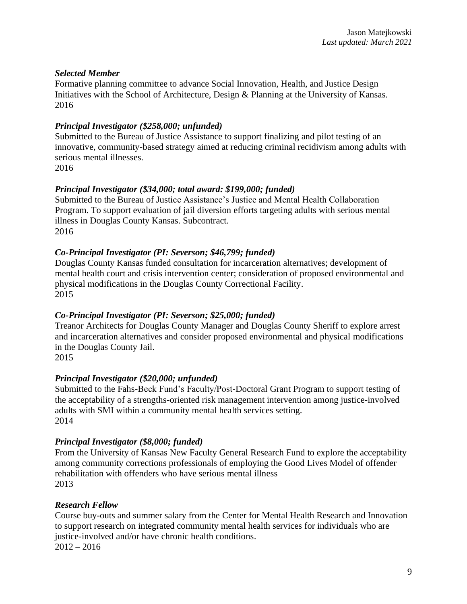# *Selected Member*

Formative planning committee to advance Social Innovation, Health, and Justice Design Initiatives with the School of Architecture, Design & Planning at the University of Kansas. 2016

# *Principal Investigator (\$258,000; unfunded)*

Submitted to the Bureau of Justice Assistance to support finalizing and pilot testing of an innovative, community-based strategy aimed at reducing criminal recidivism among adults with serious mental illnesses.

2016

# *Principal Investigator (\$34,000; total award: \$199,000; funded)*

Submitted to the Bureau of Justice Assistance's Justice and Mental Health Collaboration Program. To support evaluation of jail diversion efforts targeting adults with serious mental illness in Douglas County Kansas. Subcontract. 2016

# *Co-Principal Investigator (PI: Severson; \$46,799; funded)*

Douglas County Kansas funded consultation for incarceration alternatives; development of mental health court and crisis intervention center; consideration of proposed environmental and physical modifications in the Douglas County Correctional Facility. 2015

# *Co-Principal Investigator (PI: Severson; \$25,000; funded)*

Treanor Architects for Douglas County Manager and Douglas County Sheriff to explore arrest and incarceration alternatives and consider proposed environmental and physical modifications in the Douglas County Jail.

2015

# *Principal Investigator (\$20,000; unfunded)*

Submitted to the Fahs-Beck Fund's Faculty/Post-Doctoral Grant Program to support testing of the acceptability of a strengths-oriented risk management intervention among justice-involved adults with SMI within a community mental health services setting. 2014

# *Principal Investigator (\$8,000; funded)*

From the University of Kansas New Faculty General Research Fund to explore the acceptability among community corrections professionals of employing the Good Lives Model of offender rehabilitation with offenders who have serious mental illness 2013

# *Research Fellow*

Course buy-outs and summer salary from the Center for Mental Health Research and Innovation to support research on integrated community mental health services for individuals who are justice-involved and/or have chronic health conditions.  $2012 - 2016$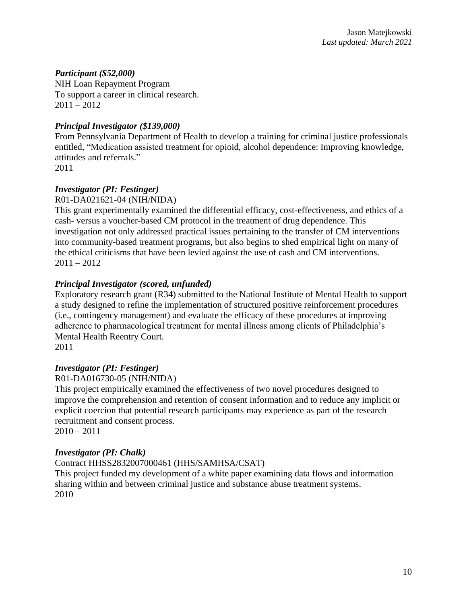# *Participant (\$52,000)*

NIH Loan Repayment Program To support a career in clinical research.  $2011 - 2012$ 

# *Principal Investigator (\$139,000)*

From Pennsylvania Department of Health to develop a training for criminal justice professionals entitled, "Medication assisted treatment for opioid, alcohol dependence: Improving knowledge, attitudes and referrals." 2011

# *Investigator (PI: Festinger)*

#### R01-DA021621-04 (NIH/NIDA)

This grant experimentally examined the differential efficacy, cost-effectiveness, and ethics of a cash- versus a voucher-based CM protocol in the treatment of drug dependence. This investigation not only addressed practical issues pertaining to the transfer of CM interventions into community-based treatment programs, but also begins to shed empirical light on many of the ethical criticisms that have been levied against the use of cash and CM interventions.  $2011 - 2012$ 

# *Principal Investigator (scored, unfunded)*

Exploratory research grant (R34) submitted to the National Institute of Mental Health to support a study designed to refine the implementation of structured positive reinforcement procedures (i.e., contingency management) and evaluate the efficacy of these procedures at improving adherence to pharmacological treatment for mental illness among clients of Philadelphia's Mental Health Reentry Court. 2011

#### *Investigator (PI: Festinger)* R01-DA016730-05 (NIH/NIDA)

This project empirically examined the effectiveness of two novel procedures designed to improve the comprehension and retention of consent information and to reduce any implicit or explicit coercion that potential research participants may experience as part of the research recruitment and consent process.

 $2010 - 2011$ 

# *Investigator (PI: Chalk)*

#### Contract HHSS2832007000461 (HHS/SAMHSA/CSAT)

This project funded my development of a white paper examining data flows and information sharing within and between criminal justice and substance abuse treatment systems. 2010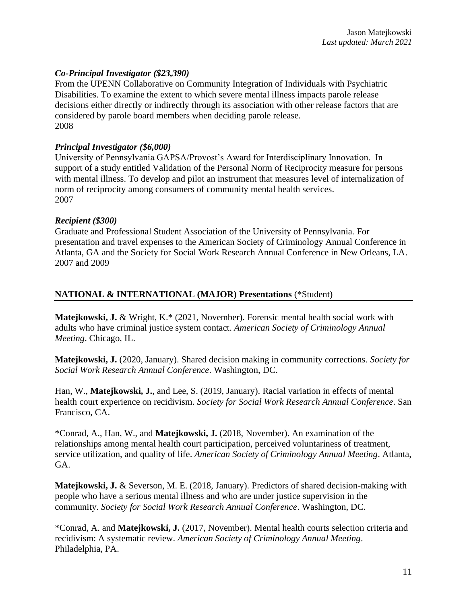#### *Co-Principal Investigator (\$23,390)*

From the UPENN Collaborative on Community Integration of Individuals with Psychiatric Disabilities. To examine the extent to which severe mental illness impacts parole release decisions either directly or indirectly through its association with other release factors that are considered by parole board members when deciding parole release. 2008

#### *Principal Investigator (\$6,000)*

University of Pennsylvania GAPSA/Provost's Award for Interdisciplinary Innovation. In support of a study entitled Validation of the Personal Norm of Reciprocity measure for persons with mental illness. To develop and pilot an instrument that measures level of internalization of norm of reciprocity among consumers of community mental health services. 2007

#### *Recipient (\$300)*

Graduate and Professional Student Association of the University of Pennsylvania. For presentation and travel expenses to the American Society of Criminology Annual Conference in Atlanta, GA and the Society for Social Work Research Annual Conference in New Orleans, LA. 2007 and 2009

#### **NATIONAL & INTERNATIONAL (MAJOR) Presentations** (\*Student)

**Matejkowski, J.** & Wright, K.\* (2021, November). Forensic mental health social work with adults who have criminal justice system contact. *American Society of Criminology Annual Meeting*. Chicago, IL.

**Matejkowski, J.** (2020, January). Shared decision making in community corrections. *Society for Social Work Research Annual Conference*. Washington, DC.

Han, W., **Matejkowski, J.**, and Lee, S. (2019, January). Racial variation in effects of mental health court experience on recidivism. *Society for Social Work Research Annual Conference*. San Francisco, CA.

\*Conrad, A., Han, W., and **Matejkowski, J.** (2018, November). An examination of the relationships among mental health court participation, perceived voluntariness of treatment, service utilization, and quality of life. *American Society of Criminology Annual Meeting*. Atlanta, GA.

**Matejkowski, J.** & Severson, M. E. (2018, January). Predictors of shared decision-making with people who have a serious mental illness and who are under justice supervision in the community. *Society for Social Work Research Annual Conference*. Washington, DC.

\*Conrad, A. and **Matejkowski, J.** (2017, November). Mental health courts selection criteria and recidivism: A systematic review. *American Society of Criminology Annual Meeting*. Philadelphia, PA.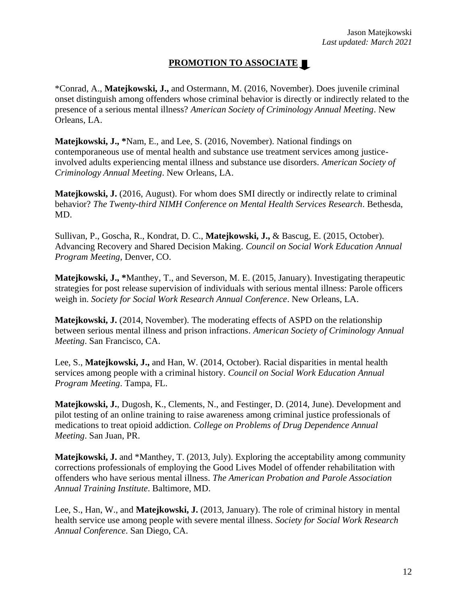# **PROMOTION TO ASSOCIATE**

\*Conrad, A., **Matejkowski, J.,** and Ostermann, M. (2016, November). Does juvenile criminal onset distinguish among offenders whose criminal behavior is directly or indirectly related to the presence of a serious mental illness? *American Society of Criminology Annual Meeting*. New Orleans, LA.

**Matejkowski, J., \***Nam, E., and Lee, S. (2016, November). National findings on contemporaneous use of mental health and substance use treatment services among justiceinvolved adults experiencing mental illness and substance use disorders. *American Society of Criminology Annual Meeting*. New Orleans, LA.

**Matejkowski, J.** (2016, August). For whom does SMI directly or indirectly relate to criminal behavior? *The Twenty-third NIMH Conference on Mental Health Services Research*. Bethesda, MD.

Sullivan, P., Goscha, R., Kondrat, D. C., **Matejkowski, J.,** & Bascug, E. (2015, October). Advancing Recovery and Shared Decision Making. *Council on Social Work Education Annual Program Meeting*, Denver, CO.

**Matejkowski, J., \***Manthey, T., and Severson, M. E. (2015, January). Investigating therapeutic strategies for post release supervision of individuals with serious mental illness: Parole officers weigh in. *Society for Social Work Research Annual Conference*. New Orleans, LA.

**Matejkowski, J.** (2014, November). The moderating effects of ASPD on the relationship between serious mental illness and prison infractions. *American Society of Criminology Annual Meeting*. San Francisco, CA.

Lee, S., **Matejkowski, J.,** and Han, W. (2014, October). Racial disparities in mental health services among people with a criminal history. *Council on Social Work Education Annual Program Meeting*. Tampa, FL.

**Matejkowski, J.**, Dugosh, K., Clements, N., and Festinger, D. (2014, June). Development and pilot testing of an online training to raise awareness among criminal justice professionals of medications to treat opioid addiction. *College on Problems of Drug Dependence Annual Meeting*. San Juan, PR.

**Matejkowski, J.** and \*Manthey, T. (2013, July). Exploring the acceptability among community corrections professionals of employing the Good Lives Model of offender rehabilitation with offenders who have serious mental illness. *The American Probation and Parole Association Annual Training Institute*. Baltimore, MD.

Lee, S., Han, W., and **Matejkowski, J.** (2013, January). The role of criminal history in mental health service use among people with severe mental illness. *Society for Social Work Research Annual Conference*. San Diego, CA.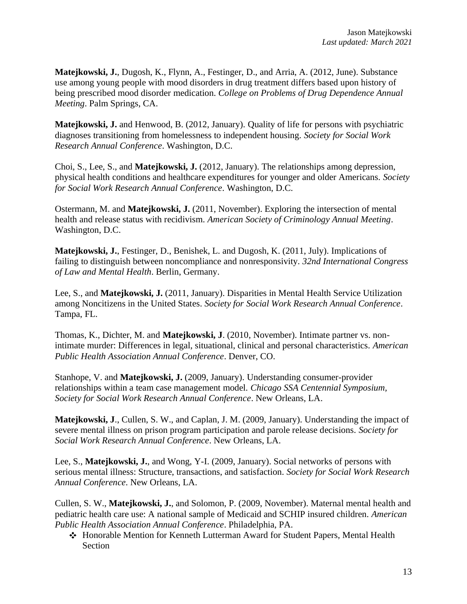**Matejkowski, J.**, Dugosh, K., Flynn, A., Festinger, D., and Arria, A. (2012, June). Substance use among young people with mood disorders in drug treatment differs based upon history of being prescribed mood disorder medication. *College on Problems of Drug Dependence Annual Meeting*. Palm Springs, CA.

**Matejkowski, J.** and Henwood, B. (2012, January). Quality of life for persons with psychiatric diagnoses transitioning from homelessness to independent housing. *Society for Social Work Research Annual Conference*. Washington, D.C.

Choi, S., Lee, S., and **Matejkowski, J.** (2012, January). The relationships among depression, physical health conditions and healthcare expenditures for younger and older Americans. *Society for Social Work Research Annual Conference*. Washington, D.C.

Ostermann, M. and **Matejkowski, J.** (2011, November). Exploring the intersection of mental health and release status with recidivism. *American Society of Criminology Annual Meeting*. Washington, D.C.

**Matejkowski, J.**, Festinger, D., Benishek, L. and Dugosh, K. (2011, July). Implications of failing to distinguish between noncompliance and nonresponsivity. *32nd International Congress of Law and Mental Health*. Berlin, Germany.

Lee, S., and **Matejkowski, J.** (2011, January). Disparities in Mental Health Service Utilization among Noncitizens in the United States. *Society for Social Work Research Annual Conference*. Tampa, FL.

Thomas, K., Dichter, M. and **Matejkowski, J**. (2010, November). Intimate partner vs. nonintimate murder: Differences in legal, situational, clinical and personal characteristics. *American Public Health Association Annual Conference*. Denver, CO.

Stanhope, V. and **Matejkowski, J.** (2009, January). Understanding consumer-provider relationships within a team case management model. *Chicago SSA Centennial Symposium, Society for Social Work Research Annual Conference*. New Orleans, LA.

**Matejkowski, J**., Cullen, S. W., and Caplan, J. M. (2009, January). Understanding the impact of severe mental illness on prison program participation and parole release decisions. *Society for Social Work Research Annual Conference*. New Orleans, LA.

Lee, S., **Matejkowski, J.**, and Wong, Y-I. (2009, January). Social networks of persons with serious mental illness: Structure, transactions, and satisfaction. *Society for Social Work Research Annual Conference*. New Orleans, LA.

Cullen, S. W., **Matejkowski, J.**, and Solomon, P. (2009, November). Maternal mental health and pediatric health care use: A national sample of Medicaid and SCHIP insured children. *American Public Health Association Annual Conference*. Philadelphia, PA.

Honorable Mention for Kenneth Lutterman Award for Student Papers, Mental Health Section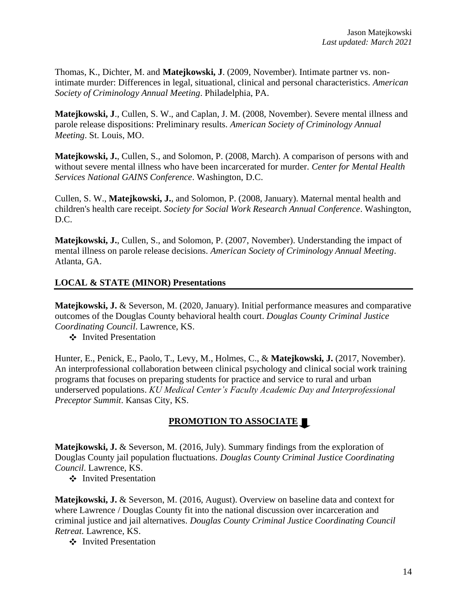Thomas, K., Dichter, M. and **Matejkowski, J**. (2009, November). Intimate partner vs. nonintimate murder: Differences in legal, situational, clinical and personal characteristics. *American Society of Criminology Annual Meeting*. Philadelphia, PA.

**Matejkowski, J**., Cullen, S. W., and Caplan, J. M. (2008, November). Severe mental illness and parole release dispositions: Preliminary results. *American Society of Criminology Annual Meeting*. St. Louis, MO.

**Matejkowski, J.**, Cullen, S., and Solomon, P. (2008, March). A comparison of persons with and without severe mental illness who have been incarcerated for murder. *Center for Mental Health Services National GAINS Conference*. Washington, D.C.

Cullen, S. W., **Matejkowski, J.**, and Solomon, P. (2008, January). Maternal mental health and children's health care receipt. *Society for Social Work Research Annual Conference*. Washington, D.C.

**Matejkowski, J.**, Cullen, S., and Solomon, P. (2007, November). Understanding the impact of mental illness on parole release decisions. *American Society of Criminology Annual Meeting*. Atlanta, GA.

#### **LOCAL & STATE (MINOR) Presentations**

**Matejkowski, J.** & Severson, M. (2020, January). Initial performance measures and comparative outcomes of the Douglas County behavioral health court. *Douglas County Criminal Justice Coordinating Council*. Lawrence, KS.

❖ Invited Presentation

Hunter, E., Penick, E., Paolo, T., Levy, M., Holmes, C., & **Matejkowski, J.** (2017, November). An interprofessional collaboration between clinical psychology and clinical social work training programs that focuses on preparing students for practice and service to rural and urban underserved populations. *KU Medical Center's Faculty Academic Day and Interprofessional Preceptor Summit*. Kansas City, KS.

# **PROMOTION TO ASSOCIATE**

**Matejkowski, J.** & Severson, M. (2016, July). Summary findings from the exploration of Douglas County jail population fluctuations. *Douglas County Criminal Justice Coordinating Council*. Lawrence, KS.

Invited Presentation

**Matejkowski, J.** & Severson, M. (2016, August). Overview on baseline data and context for where Lawrence / Douglas County fit into the national discussion over incarceration and criminal justice and jail alternatives. *Douglas County Criminal Justice Coordinating Council Retreat*. Lawrence, KS.

❖ Invited Presentation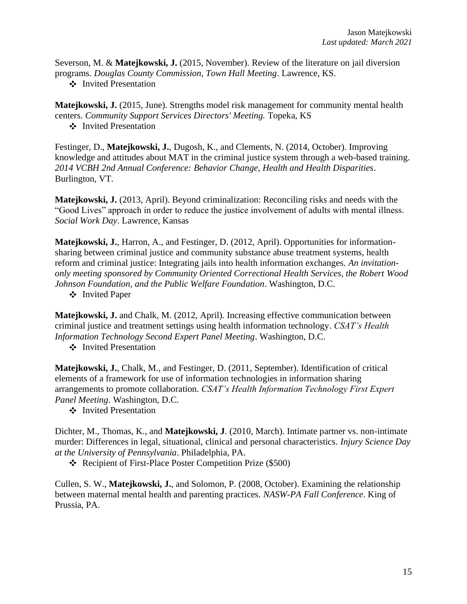Severson, M. & **Matejkowski, J.** (2015, November). Review of the literature on jail diversion programs. *Douglas County Commission, Town Hall Meeting*. Lawrence, KS.

Invited Presentation

**Matejkowski, J.** (2015, June). Strengths model risk management for community mental health centers. *Community Support Services Directors' Meeting.* Topeka, KS

 $\div$  Invited Presentation

Festinger, D., **Matejkowski, J.**, Dugosh, K., and Clements, N. (2014, October). Improving knowledge and attitudes about MAT in the criminal justice system through a web-based training. *2014 VCBH 2nd Annual Conference: Behavior Change, Health and Health Disparities*. Burlington, VT.

**Matejkowski, J.** (2013, April). Beyond criminalization: Reconciling risks and needs with the "Good Lives" approach in order to reduce the justice involvement of adults with mental illness. *Social Work Day*. Lawrence, Kansas

**Matejkowski, J.**, Harron, A., and Festinger, D. (2012, April). Opportunities for informationsharing between criminal justice and community substance abuse treatment systems, health reform and criminal justice: Integrating jails into health information exchanges. *An invitationonly meeting sponsored by Community Oriented Correctional Health Services, the Robert Wood Johnson Foundation, and the Public Welfare Foundation*. Washington, D.C.

Invited Paper

**Matejkowski, J.** and Chalk, M. (2012, April). Increasing effective communication between criminal justice and treatment settings using health information technology. *CSAT's Health Information Technology Second Expert Panel Meeting*. Washington, D.C.

❖ Invited Presentation

**Matejkowski, J.**, Chalk, M., and Festinger, D. (2011, September). Identification of critical elements of a framework for use of information technologies in information sharing arrangements to promote collaboration. *CSAT's Health Information Technology First Expert Panel Meeting*. Washington, D.C.

Invited Presentation

Dichter, M., Thomas, K., and **Matejkowski, J**. (2010, March). Intimate partner vs. non-intimate murder: Differences in legal, situational, clinical and personal characteristics. *Injury Science Day at the University of Pennsylvania*. Philadelphia, PA.

Recipient of First-Place Poster Competition Prize (\$500)

Cullen, S. W., **Matejkowski, J.**, and Solomon, P. (2008, October). Examining the relationship between maternal mental health and parenting practices. *NASW-PA Fall Conference*. King of Prussia, PA.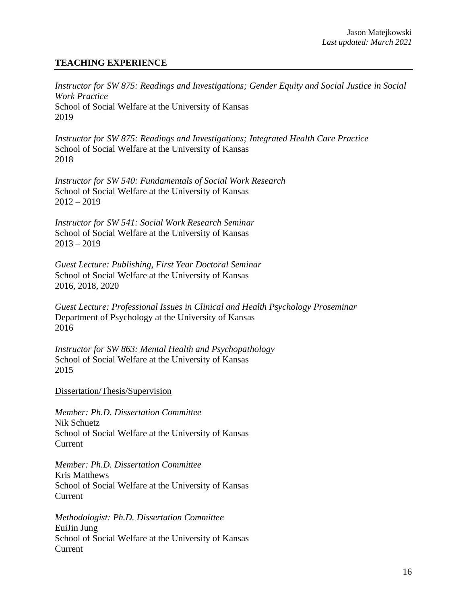# **TEACHING EXPERIENCE**

*Instructor for SW 875: Readings and Investigations; Gender Equity and Social Justice in Social Work Practice* School of Social Welfare at the University of Kansas 2019

*Instructor for SW 875: Readings and Investigations; Integrated Health Care Practice* School of Social Welfare at the University of Kansas 2018

*Instructor for SW 540: Fundamentals of Social Work Research* School of Social Welfare at the University of Kansas  $2012 - 2019$ 

*Instructor for SW 541: Social Work Research Seminar* School of Social Welfare at the University of Kansas  $2013 - 2019$ 

*Guest Lecture: Publishing, First Year Doctoral Seminar* School of Social Welfare at the University of Kansas 2016, 2018, 2020

*Guest Lecture: Professional Issues in Clinical and Health Psychology Proseminar* Department of Psychology at the University of Kansas 2016

*Instructor for SW 863: Mental Health and Psychopathology* School of Social Welfare at the University of Kansas 2015

Dissertation/Thesis/Supervision

*Member: Ph.D. Dissertation Committee* Nik Schuetz School of Social Welfare at the University of Kansas Current

*Member: Ph.D. Dissertation Committee* Kris Matthews School of Social Welfare at the University of Kansas Current

*Methodologist: Ph.D. Dissertation Committee* EuiJin Jung School of Social Welfare at the University of Kansas Current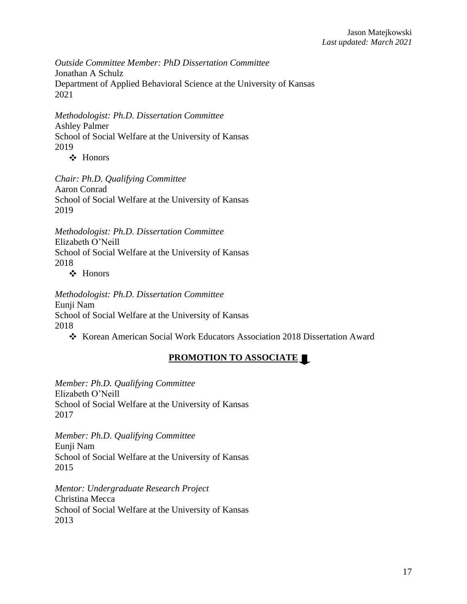*Outside Committee Member: PhD Dissertation Committee* Jonathan A Schulz Department of Applied Behavioral Science at the University of Kansas 2021

*Methodologist: Ph.D. Dissertation Committee* Ashley Palmer School of Social Welfare at the University of Kansas 2019

Honors

*Chair: Ph.D. Qualifying Committee* Aaron Conrad School of Social Welfare at the University of Kansas 2019

*Methodologist: Ph.D. Dissertation Committee* Elizabeth O'Neill School of Social Welfare at the University of Kansas 2018

Honors

*Methodologist: Ph.D. Dissertation Committee* Eunji Nam School of Social Welfare at the University of Kansas 2018

Korean American Social Work Educators Association 2018 Dissertation Award

# **PROMOTION TO ASSOCIATE**

*Member: Ph.D. Qualifying Committee* Elizabeth O'Neill School of Social Welfare at the University of Kansas 2017

*Member: Ph.D. Qualifying Committee* Eunji Nam School of Social Welfare at the University of Kansas 2015

*Mentor: Undergraduate Research Project* Christina Mecca School of Social Welfare at the University of Kansas 2013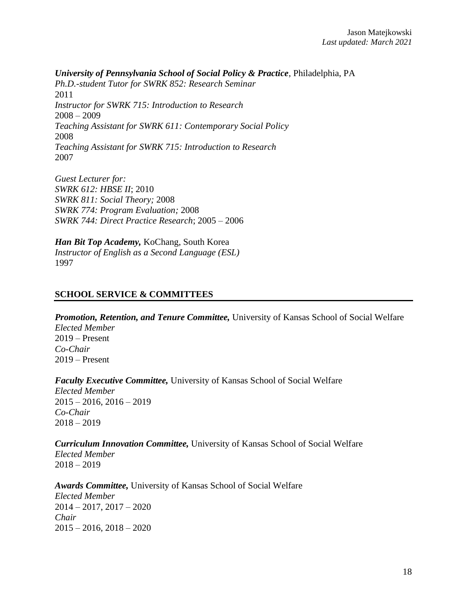*University of Pennsylvania School of Social Policy & Practice*, Philadelphia, PA *Ph.D.-student Tutor for SWRK 852: Research Seminar* 2011 *Instructor for SWRK 715: Introduction to Research*  $2008 - 2009$ *Teaching Assistant for SWRK 611: Contemporary Social Policy* 2008 *Teaching Assistant for SWRK 715: Introduction to Research* 2007

*Guest Lecturer for: SWRK 612: HBSE II*; 2010 *SWRK 811: Social Theory;* 2008 *SWRK 774: Program Evaluation;* 2008 *SWRK 744: Direct Practice Research*; 2005 – 2006

*Han Bit Top Academy,* KoChang, South Korea *Instructor of English as a Second Language (ESL)* 1997

#### **SCHOOL SERVICE & COMMITTEES**

*Promotion, Retention, and Tenure Committee,* University of Kansas School of Social Welfare *Elected Member* 2019 – Present *Co-Chair* 2019 – Present

*Faculty Executive Committee,* University of Kansas School of Social Welfare *Elected Member*  $2015 - 2016$ ,  $2016 - 2019$ *Co-Chair* 2018 – 2019

*Curriculum Innovation Committee,* University of Kansas School of Social Welfare *Elected Member*

2018 – 2019

*Awards Committee,* University of Kansas School of Social Welfare *Elected Member* 2014 – 2017, 2017 – 2020 *Chair*  $2015 - 2016$ ,  $2018 - 2020$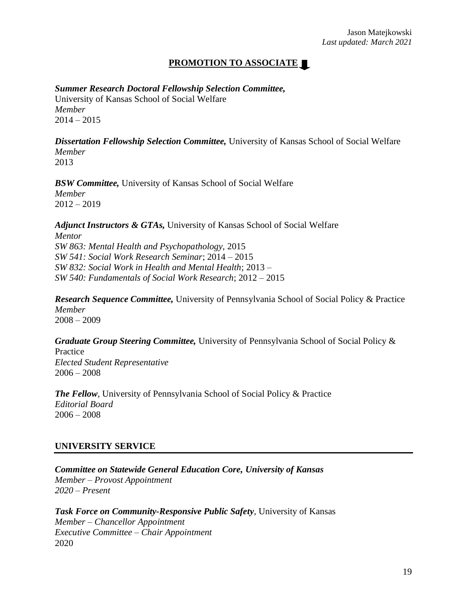# **PROMOTION TO ASSOCIATE**

*Summer Research Doctoral Fellowship Selection Committee,*  University of Kansas School of Social Welfare *Member*  $2014 - 2015$ 

*Dissertation Fellowship Selection Committee,* University of Kansas School of Social Welfare *Member* 2013

*BSW Committee,* University of Kansas School of Social Welfare *Member*  $2012 - 2019$ 

*Adjunct Instructors & GTAs,* University of Kansas School of Social Welfare *Mentor SW 863: Mental Health and Psychopathology,* 2015 *SW 541: Social Work Research Seminar*; 2014 – 2015 *SW 832: Social Work in Health and Mental Health*; 2013 – *SW 540: Fundamentals of Social Work Research*; 2012 – 2015

*Research Sequence Committee,* University of Pennsylvania School of Social Policy & Practice *Member* 2008 – 2009

*Graduate Group Steering Committee,* University of Pennsylvania School of Social Policy & Practice *Elected Student Representative*  $2006 - 2008$ 

*The Fellow*, University of Pennsylvania School of Social Policy & Practice *Editorial Board* 2006 – 2008

#### **UNIVERSITY SERVICE**

*Committee on Statewide General Education Core, University of Kansas Member – Provost Appointment 2020 – Present*

*Task Force on Community-Responsive Public Safety*, University of Kansas *Member – Chancellor Appointment Executive Committee – Chair Appointment* 2020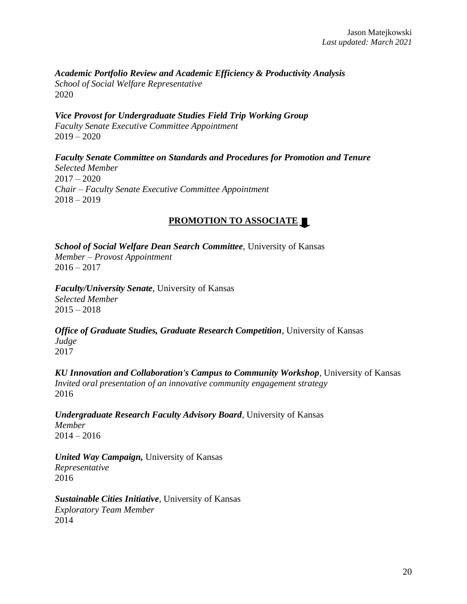*Academic Portfolio Review and Academic Efficiency & Productivity Analysis School of Social Welfare Representative* 2020

*Vice Provost for Undergraduate Studies Field Trip Working Group Faculty Senate Executive Committee Appointment*  $2019 - 2020$ 

*Faculty Senate Committee on Standards and Procedures for Promotion and Tenure Selected Member*  $2017 - 2020$ *Chair – Faculty Senate Executive Committee Appointment*  $2018 - 2019$ 

# **PROMOTION TO ASSOCIATE**

*School of Social Welfare Dean Search Committee*, University of Kansas *Member – Provost Appointment*  $2016 - 2017$ 

*Faculty/University Senate*, University of Kansas *Selected Member*  $2015 - 2018$ 

*Office of Graduate Studies, Graduate Research Competition*, University of Kansas *Judge* 2017

*KU Innovation and Collaboration's Campus to Community Workshop*, University of Kansas *Invited oral presentation of an innovative community engagement strategy* 2016

*Undergraduate Research Faculty Advisory Board*, University of Kansas *Member* 2014 – 2016

*United Way Campaign,* University of Kansas *Representative* 2016

*Sustainable Cities Initiative*, University of Kansas *Exploratory Team Member* 2014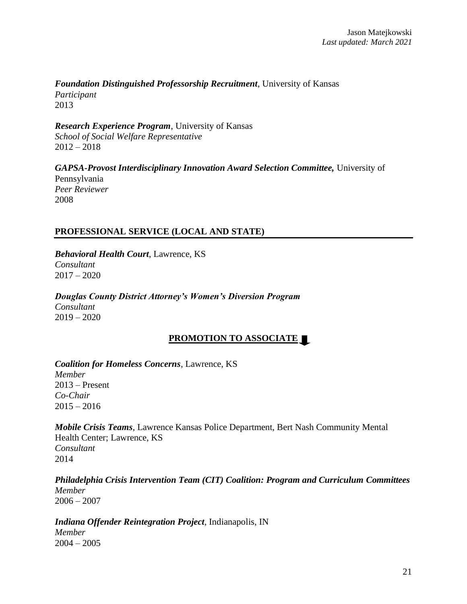#### *Foundation Distinguished Professorship Recruitment*, University of Kansas *Participant*

2013

*Research Experience Program*, University of Kansas *School of Social Welfare Representative*  $2012 - 2018$ 

*GAPSA-Provost Interdisciplinary Innovation Award Selection Committee,* University of Pennsylvania *Peer Reviewer* 2008

# **PROFESSIONAL SERVICE (LOCAL AND STATE)**

*Behavioral Health Court*, Lawrence, KS *Consultant*  $2017 - 2020$ 

*Douglas County District Attorney's Women's Diversion Program Consultant* 2019 – 2020

# **PROMOTION TO ASSOCIATE**

*Coalition for Homeless Concerns*, Lawrence, KS *Member* 2013 – Present *Co-Chair* 2015 – 2016

*Mobile Crisis Teams*, Lawrence Kansas Police Department, Bert Nash Community Mental Health Center; Lawrence, KS *Consultant* 2014

*Philadelphia Crisis Intervention Team (CIT) Coalition: Program and Curriculum Committees Member*  $2006 - 2007$ 

*Indiana Offender Reintegration Project*, Indianapolis, IN *Member* 2004 – 2005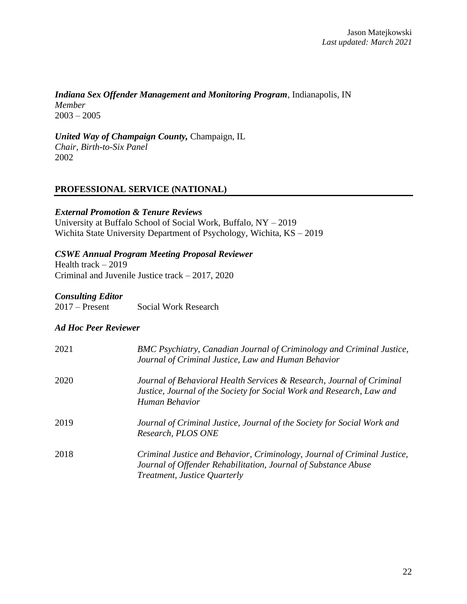*Indiana Sex Offender Management and Monitoring Program*, Indianapolis, IN *Member*  $2003 - 2005$ 

*United Way of Champaign County,* Champaign, IL *Chair, Birth-to-Six Panel* 2002

# **PROFESSIONAL SERVICE (NATIONAL)**

#### *External Promotion & Tenure Reviews*

University at Buffalo School of Social Work, Buffalo, NY – 2019 Wichita State University Department of Psychology, Wichita, KS – 2019

#### *CSWE Annual Program Meeting Proposal Reviewer*

Health track – 2019 Criminal and Juvenile Justice track – 2017, 2020

# *Consulting Editor*

Social Work Research

#### *Ad Hoc Peer Reviewer*

| 2021 | BMC Psychiatry, Canadian Journal of Criminology and Criminal Justice,<br>Journal of Criminal Justice, Law and Human Behavior                                               |
|------|----------------------------------------------------------------------------------------------------------------------------------------------------------------------------|
| 2020 | Journal of Behavioral Health Services & Research, Journal of Criminal<br>Justice, Journal of the Society for Social Work and Research, Law and<br>Human Behavior           |
| 2019 | Journal of Criminal Justice, Journal of the Society for Social Work and<br>Research, PLOS ONE                                                                              |
| 2018 | Criminal Justice and Behavior, Criminology, Journal of Criminal Justice,<br>Journal of Offender Rehabilitation, Journal of Substance Abuse<br>Treatment, Justice Quarterly |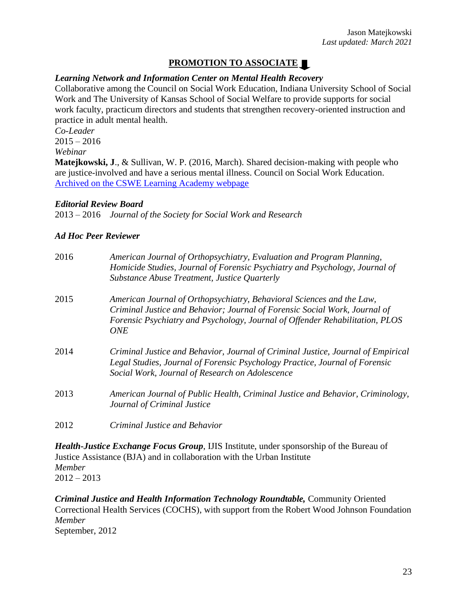# **PROMOTION TO ASSOCIATE**

# *Learning Network and Information Center on Mental Health Recovery*

Collaborative among the Council on Social Work Education, Indiana University School of Social Work and The University of Kansas School of Social Welfare to provide supports for social work faculty, practicum directors and students that strengthen recovery-oriented instruction and practice in adult mental health.

*Co-Leader*  $2015 - 2016$ *Webinar*

**Matejkowski, J**., & Sullivan, W. P. (2016, March). Shared decision-making with people who are justice-involved and have a serious mental illness. Council on Social Work Education. Archived [on the CSWE Learning Academy webpage](https://learningacademy.cswe.org/products/shared-decision-making-with-people-who-are-justice-involved-and-have-a-serious-mental-illness#tab-product_tab_overview)

#### *Editorial Review Board*

2013 – 2016 *Journal of the Society for Social Work and Research*

#### *Ad Hoc Peer Reviewer*

| 2016 | American Journal of Orthopsychiatry, Evaluation and Program Planning,<br>Homicide Studies, Journal of Forensic Psychiatry and Psychology, Journal of<br>Substance Abuse Treatment, Justice Quarterly                                       |
|------|--------------------------------------------------------------------------------------------------------------------------------------------------------------------------------------------------------------------------------------------|
| 2015 | American Journal of Orthopsychiatry, Behavioral Sciences and the Law,<br>Criminal Justice and Behavior; Journal of Forensic Social Work, Journal of<br>Forensic Psychiatry and Psychology, Journal of Offender Rehabilitation, PLOS<br>ONE |
| 2014 | Criminal Justice and Behavior, Journal of Criminal Justice, Journal of Empirical<br>Legal Studies, Journal of Forensic Psychology Practice, Journal of Forensic<br>Social Work, Journal of Research on Adolescence                         |
| 2013 | American Journal of Public Health, Criminal Justice and Behavior, Criminology,<br>Journal of Criminal Justice                                                                                                                              |
| 2012 | Criminal Justice and Behavior                                                                                                                                                                                                              |

*Health-Justice Exchange Focus Group*, IJIS Institute, under sponsorship of the Bureau of Justice Assistance (BJA) and in collaboration with the Urban Institute *Member*  $2012 - 2013$ 

*Criminal Justice and Health Information Technology Roundtable,* Community Oriented Correctional Health Services (COCHS), with support from the Robert Wood Johnson Foundation *Member* September, 2012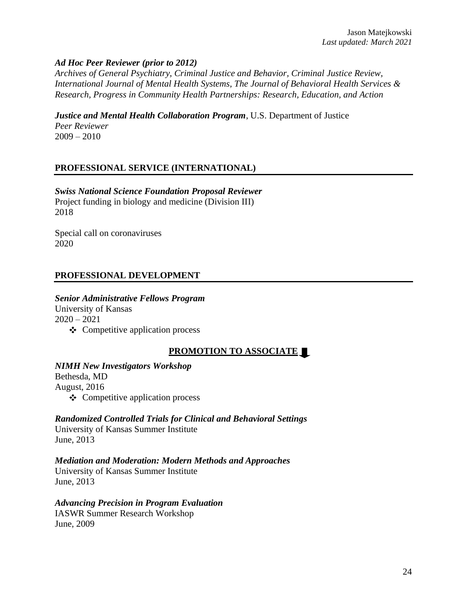#### *Ad Hoc Peer Reviewer (prior to 2012)*

*Archives of General Psychiatry, Criminal Justice and Behavior, Criminal Justice Review, International Journal of Mental Health Systems, The Journal of Behavioral Health Services & Research, Progress in Community Health Partnerships: Research, Education, and Action*

*Justice and Mental Health Collaboration Program*, U.S. Department of Justice *Peer Reviewer*

 $2009 - 2010$ 

# **PROFESSIONAL SERVICE (INTERNATIONAL)**

*Swiss National Science Foundation Proposal Reviewer* Project funding in biology and medicine (Division III) 2018

Special call on coronaviruses 2020

#### **PROFESSIONAL DEVELOPMENT**

# *Senior Administrative Fellows Program*

University of Kansas  $2020 - 2021$  $\triangleleft$  Competitive application process

# **PROMOTION TO ASSOCIATE**

#### *NIMH New Investigators Workshop*

Bethesda, MD August, 2016  $\triangle$  Competitive application process

*Randomized Controlled Trials for Clinical and Behavioral Settings*

University of Kansas Summer Institute June, 2013

*Mediation and Moderation: Modern Methods and Approaches* 

University of Kansas Summer Institute June, 2013

#### *Advancing Precision in Program Evaluation*

IASWR Summer Research Workshop June, 2009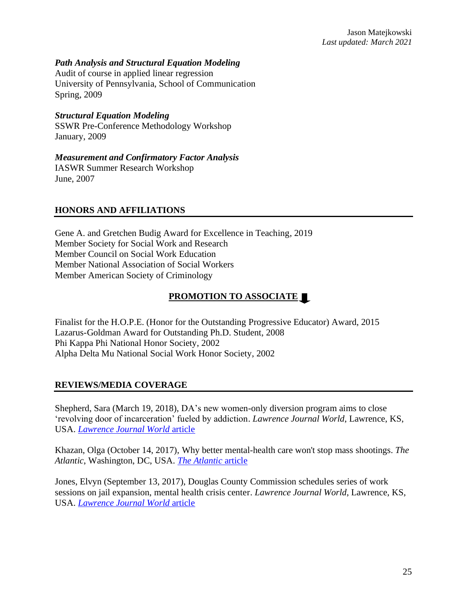#### *Path Analysis and Structural Equation Modeling*

Audit of course in applied linear regression University of Pennsylvania, School of Communication Spring, 2009

#### *Structural Equation Modeling*

SSWR Pre-Conference Methodology Workshop January, 2009

#### *Measurement and Confirmatory Factor Analysis*

IASWR Summer Research Workshop June, 2007

#### **HONORS AND AFFILIATIONS**

Gene A. and Gretchen Budig Award for Excellence in Teaching, 2019 Member Society for Social Work and Research Member Council on Social Work Education Member National Association of Social Workers Member American Society of Criminology

# **PROMOTION TO ASSOCIATE**

Finalist for the H.O.P.E. (Honor for the Outstanding Progressive Educator) Award, 2015 Lazarus-Goldman Award for Outstanding Ph.D. Student, 2008 Phi Kappa Phi National Honor Society, 2002 Alpha Delta Mu National Social Work Honor Society, 2002

# **REVIEWS/MEDIA COVERAGE**

Shepherd, Sara (March 19, 2018), DA's new women-only diversion program aims to close 'revolving door of incarceration' fueled by addiction. *Lawrence Journal World*, Lawrence, KS, USA. *[Lawrence Journal World](http://www2.ljworld.com/news/2018/mar/19/das-new-women-only-diversion-program-aims-close-re/)* article

Khazan, Olga (October 14, 2017), Why better mental-health care won't stop mass shootings. *The Atlantic*, Washington, DC, USA. *[The Atlantic](https://www.theatlantic.com/health/archive/2017/10/why-better-mental-health-care-wont-stop-mass-shootings/541965/)* article

Jones, Elvyn (September 13, 2017), Douglas County Commission schedules series of work sessions on jail expansion, mental health crisis center. *Lawrence Journal World*, Lawrence, KS, USA. *[Lawrence Journal World](http://www2.ljworld.com/news/2017/sep/13/county-commission-have-series-work-sessions-jail-e/)* article